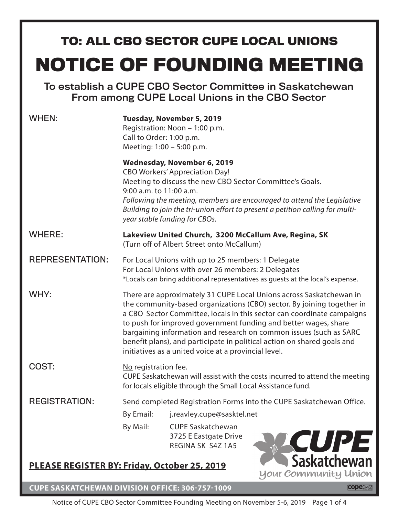# **NOTICE OF FOUNDING MEETING TO: ALL CBO SECTOR CUPE LOCAL UNIONS**

To establish a CUPE CBO Sector Committee in Saskatchewan From among CUPE Local Unions in the CBO Sector

| WHEN:                                                                       | Tuesday, November 5, 2019<br>Registration: Noon - 1:00 p.m.<br>Call to Order: 1:00 p.m.<br>Meeting: 1:00 - 5:00 p.m.                                                                                                                                                                                                                                                                                                                                                                                |                                                                                                                                                                   |                                                                                                                                                           |
|-----------------------------------------------------------------------------|-----------------------------------------------------------------------------------------------------------------------------------------------------------------------------------------------------------------------------------------------------------------------------------------------------------------------------------------------------------------------------------------------------------------------------------------------------------------------------------------------------|-------------------------------------------------------------------------------------------------------------------------------------------------------------------|-----------------------------------------------------------------------------------------------------------------------------------------------------------|
|                                                                             | 9:00 a.m. to 11:00 a.m.                                                                                                                                                                                                                                                                                                                                                                                                                                                                             | Wednesday, November 6, 2019<br><b>CBO Workers' Appreciation Day!</b><br>Meeting to discuss the new CBO Sector Committee's Goals.<br>year stable funding for CBOs. | Following the meeting, members are encouraged to attend the Legislative<br>Building to join the tri-union effort to present a petition calling for multi- |
| <b>WHERE:</b>                                                               | Lakeview United Church, 3200 McCallum Ave, Regina, SK<br>(Turn off of Albert Street onto McCallum)                                                                                                                                                                                                                                                                                                                                                                                                  |                                                                                                                                                                   |                                                                                                                                                           |
| <b>REPRESENTATION:</b>                                                      | For Local Unions with up to 25 members: 1 Delegate<br>For Local Unions with over 26 members: 2 Delegates<br>*Locals can bring additional representatives as guests at the local's expense.                                                                                                                                                                                                                                                                                                          |                                                                                                                                                                   |                                                                                                                                                           |
| WHY:                                                                        | There are approximately 31 CUPE Local Unions across Saskatchewan in<br>the community-based organizations (CBO) sector. By joining together in<br>a CBO Sector Committee, locals in this sector can coordinate campaigns<br>to push for improved government funding and better wages, share<br>bargaining information and research on common issues (such as SARC<br>benefit plans), and participate in political action on shared goals and<br>initiatives as a united voice at a provincial level. |                                                                                                                                                                   |                                                                                                                                                           |
| COST:                                                                       | No registration fee.<br>CUPE Saskatchewan will assist with the costs incurred to attend the meeting<br>for locals eligible through the Small Local Assistance fund.                                                                                                                                                                                                                                                                                                                                 |                                                                                                                                                                   |                                                                                                                                                           |
| <b>REGISTRATION:</b>                                                        | Send completed Registration Forms into the CUPE Saskatchewan Office.                                                                                                                                                                                                                                                                                                                                                                                                                                |                                                                                                                                                                   |                                                                                                                                                           |
|                                                                             | By Email:                                                                                                                                                                                                                                                                                                                                                                                                                                                                                           | j.reavley.cupe@sasktel.net                                                                                                                                        |                                                                                                                                                           |
|                                                                             | By Mail:                                                                                                                                                                                                                                                                                                                                                                                                                                                                                            | <b>CUPE Saskatchewan</b><br>3725 E Eastgate Drive<br>REGINA SK S4Z 1A5                                                                                            | <b>CUPE</b><br>Saskatchewan                                                                                                                               |
| PLEASE REGISTER BY: Friday, October 25, 2019<br><b>Your Community Union</b> |                                                                                                                                                                                                                                                                                                                                                                                                                                                                                                     |                                                                                                                                                                   |                                                                                                                                                           |

**CUPE SASKATCHEWAN DIVISION OFFICE: 306-757-1009**

**cope**342

Notice of CUPE CBO Sector Committee Founding Meeting on November 5-6, 2019 Page 1 of 4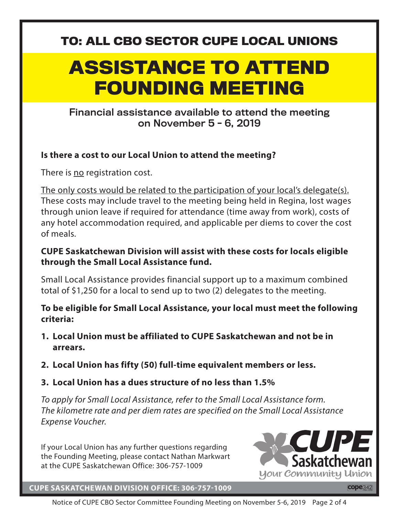#### **TO: ALL CBO SECTOR CUPE LOCAL UNIONS**

# **ASSISTANCE TO ATTEND FOUNDING MEETING**

#### Financial assistance available to attend the meeting on November 5 - 6, 2019

#### **Is there a cost to our Local Union to attend the meeting?**

There is no registration cost.

The only costs would be related to the participation of your local's delegate(s). These costs may include travel to the meeting being held in Regina, lost wages through union leave if required for attendance (time away from work), costs of any hotel accommodation required, and applicable per diems to cover the cost of meals.

#### **CUPE Saskatchewan Division will assist with these costs for locals eligible through the Small Local Assistance fund.**

Small Local Assistance provides financial support up to a maximum combined total of \$1,250 for a local to send up to two (2) delegates to the meeting.

#### **To be eligible for Small Local Assistance, your local must meet the following criteria:**

- **1. Local Union must be affiliated to CUPE Saskatchewan and not be in arrears.**
- **2. Local Union has fifty (50) full-time equivalent members or less.**
- **3. Local Union has a dues structure of no less than 1.5%**

*To apply for Small Local Assistance, refer to the Small Local Assistance form. The kilometre rate and per diem rates are specified on the Small Local Assistance Expense Voucher.*

If your Local Union has any further questions regarding the Founding Meeting, please contact Nathan Markwart at the CUPE Saskatchewan Office: 306-757-1009



#### **CUPE SASKATCHEWAN DIVISION OFFICE: 306-757-1009**

Notice of CUPE CBO Sector Committee Founding Meeting on November 5-6, 2019 Page 2 of 4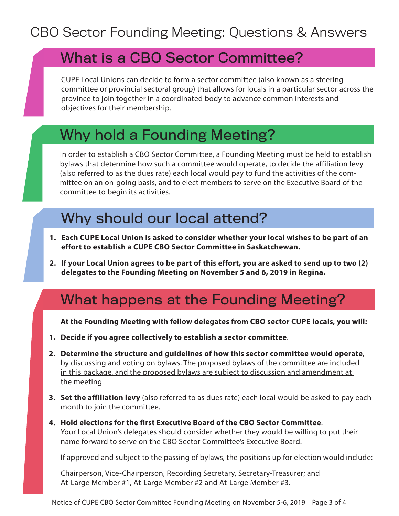### What is a CBO Sector Committee?

CUPE Local Unions can decide to form a sector committee (also known as a steering committee or provincial sectoral group) that allows for locals in a particular sector across the province to join together in a coordinated body to advance common interests and objectives for their membership.

### Why hold a Founding Meeting?

In order to establish a CBO Sector Committee, a Founding Meeting must be held to establish bylaws that determine how such a committee would operate, to decide the affiliation levy (also referred to as the dues rate) each local would pay to fund the activities of the committee on an on-going basis, and to elect members to serve on the Executive Board of the committee to begin its activities.

### Why should our local attend?

- **1. Each CUPE Local Union is asked to consider whether your local wishes to be part of an effort to establish a CUPE CBO Sector Committee in Saskatchewan.**
- **2. If your Local Union agrees to be part of this effort, you are asked to send up to two (2) delegates to the Founding Meeting on November 5 and 6, 2019 in Regina.**

### What happens at the Founding Meeting?

**At the Founding Meeting with fellow delegates from CBO sector CUPE locals, you will:**

- **1. Decide if you agree collectively to establish a sector committee**.
- **2. Determine the structure and guidelines of how this sector committee would operate**, by discussing and voting on bylaws. The proposed bylaws of the committee are included in this package, and the proposed bylaws are subject to discussion and amendment at the meeting.
- **3. Set the affiliation levy** (also referred to as dues rate) each local would be asked to pay each month to join the committee.
- **4. Hold elections for the first Executive Board of the CBO Sector Committee**. Your Local Union's delegates should consider whether they would be willing to put their name forward to serve on the CBO Sector Committee's Executive Board.

If approved and subject to the passing of bylaws, the positions up for election would include:

Chairperson, Vice-Chairperson, Recording Secretary, Secretary-Treasurer; and At-Large Member #1, At-Large Member #2 and At-Large Member #3.